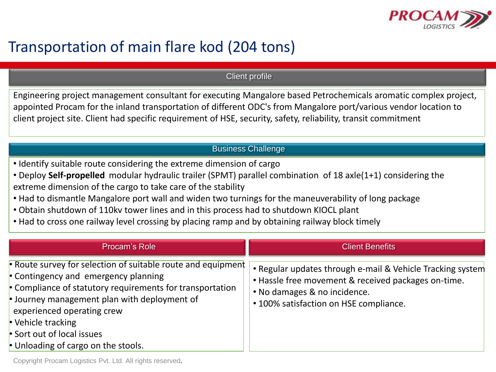

## Transportation of main flare kod (204 tons)

Client profile

Engineering project management consultant for executing Mangalore based Petrochemicals aromatic complex project, appointed Procam for the inland transportation of different ODC's from Mangalore port/various vendor location to client project site. Client had specific requirement of HSE, security, safety, reliability, transit commitment

## Business Challenge

- Identify suitable route considering the extreme dimension of cargo
- Deploy **Self-propelled** modular hydraulic trailer (SPMT) parallel combination of 18 axle(1+1) considering the extreme dimension of the cargo to take care of the stability
- Had to dismantle Mangalore port wall and widen two turnings for the maneuverability of long package
- Obtain shutdown of 110kv tower lines and in this process had to shutdown KIOCL plant
- Had to cross one railway level crossing by placing ramp and by obtaining railway block timely

| Procam's Role                                                                                                                                                                                                                                                                                                                                    | <b>Client Benefits</b>                                                                                                                                                                      |
|--------------------------------------------------------------------------------------------------------------------------------------------------------------------------------------------------------------------------------------------------------------------------------------------------------------------------------------------------|---------------------------------------------------------------------------------------------------------------------------------------------------------------------------------------------|
| • Route survey for selection of suitable route and equipment<br>• Contingency and emergency planning<br>• Compliance of statutory requirements for transportation<br>$\cdot$ Journey management plan with deployment of<br>experienced operating crew<br>• Vehicle tracking<br>• Sort out of local issues<br>• Unloading of cargo on the stools. | • Regular updates through e-mail & Vehicle Tracking system<br>. Hassle free movement & received packages on-time.<br>• No damages & no incidence.<br>• 100% satisfaction on HSE compliance. |

Copyright Procam Logistics Pvt. Ltd. All rights reserved.